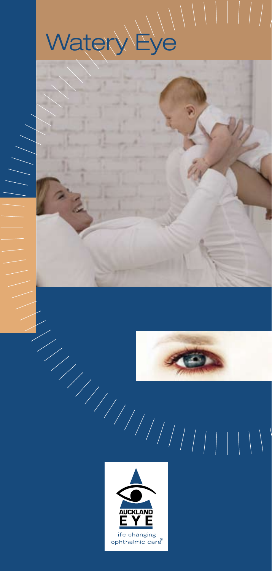





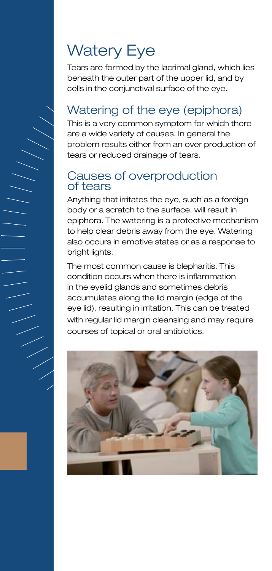# Watery Eye

Tears are formed by the lacrimal gland, which lies beneath the outer part of the upper lid, and by cells in the conjunctival surface of the eye.

# Watering of the eye (epiphora)

This is a very common symptom for which there are a wide variety of causes. In general the problem results either from an over production of tears or reduced drainage of tears.

### Causes of overproduction of tears

Anything that irritates the eye, such as a foreign body or a scratch to the surface, will result in epiphora. The watering is a protective mechanism to help clear debris away from the eye. Watering also occurs in emotive states or as a response to bright lights.

The most common cause is blepharitis. This condition occurs when there is inflammation in the eyelid glands and sometimes debris accumulates along the lid margin (edge of the eye lid), resulting in irritation. This can be treated with regular lid margin cleansing and may require courses of topical or oral antibiotics.

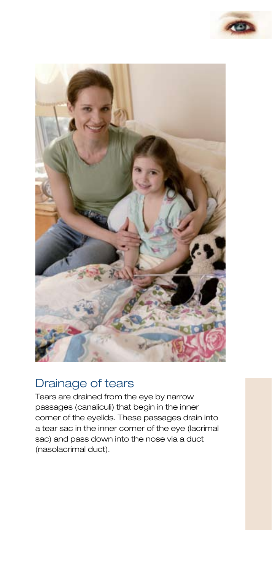



## Drainage of tears

Tears are drained from the eye by narrow passages (canaliculi) that begin in the inner corner of the eyelids. These passages drain into a tear sac in the inner corner of the eye (lacrimal sac) and pass down into the nose via a duct (nasolacrimal duct).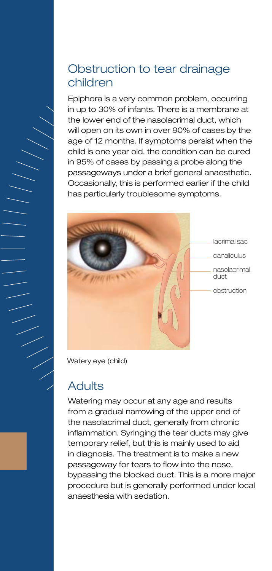# Obstruction to tear drainage children

Epiphora is a very common problem, occurring in up to 30% of infants. There is a membrane at the lower end of the nasolacrimal duct, which will open on its own in over 90% of cases by the age of 12 months. If symptoms persist when the child is one year old, the condition can be cured in 95% of cases by passing a probe along the passageways under a brief general anaesthetic. Occasionally, this is performed earlier if the child has particularly troublesome symptoms.



Watery eye (child)

# **Adults**

Watering may occur at any age and results from a gradual narrowing of the upper end of the nasolacrimal duct, generally from chronic inflammation. Syringing the tear ducts may give temporary relief, but this is mainly used to aid in diagnosis. The treatment is to make a new passageway for tears to flow into the nose, bypassing the blocked duct. This is a more major procedure but is generally performed under local anaesthesia with sedation.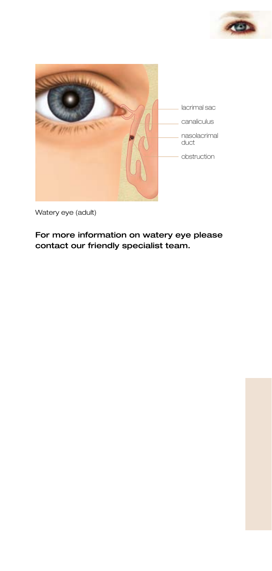



Watery eye (adult)

For more information on watery eye please contact our friendly specialist team.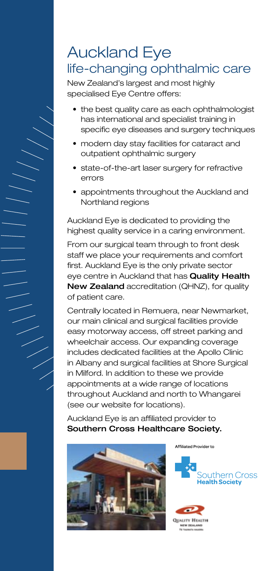# Auckland Eye life-changing ophthalmic care

New Zealand's largest and most highly specialised Eye Centre offers:

- the best quality care as each ophthalmologist has international and specialist training in specific eye diseases and surgery techniques
- modern day stay facilities for cataract and outpatient ophthalmic surgery
- state-of-the-art laser surgery for refractive errors
- appointments throughout the Auckland and Northland regions

Auckland Eye is dedicated to providing the highest quality service in a caring environment.

From our surgical team through to front desk staff we place your requirements and comfort first. Auckland Eye is the only private sector eye centre in Auckland that has Quality Health New Zealand accreditation (QHNZ), for quality of patient care.

Centrally located in Remuera, near Newmarket, our main clinical and surgical facilities provide easy motorway access, off street parking and wheelchair access. Our expanding coverage includes dedicated facilities at the Apollo Clinic in Albany and surgical facilities at Shore Surgical in Milford. In addition to these we provide appointments at a wide range of locations throughout Auckland and north to Whangarei (see our website for locations).

Auckland Eye is an affiliated provider to Southern Cross Healthcare Society.





**OBATTY HEATH** 

Affiliated Provider to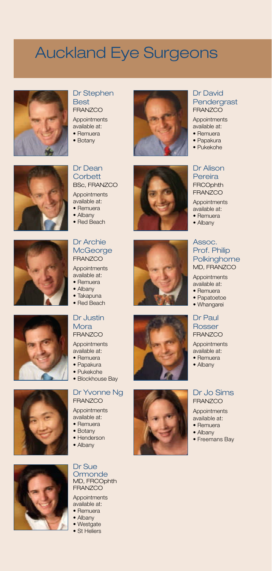# Auckland Eye Surgeons



#### Dr Stephen Best **FRANZCO**

Appointments available at:

- Remuera
- Botany



#### Dr David Pendergrast **FRANZCO**

Appointments available at:

- Remuera
- Papakura
- Pukekohe

### Dr Alison

Pereira **FRCOphth FRANZCO** 

Appointments available at: • Remuera

• Albany

#### Assoc. Prof. Philip **Polkinghorne** MD, FRANZCO

Appointments available at:

- Remuera
- Papatoetoe
- Whangarei

#### Dr Paul Rosser FRANZCO

Appointments available at:

- Remuera
- Albany

#### Dr Jo Sims FRANZCO

Appointments available at:

- Remuera
- Albany
- Freemans Bay





### Dr Dean **Corbett**

BSc, FRANZCO **Appointments** 

- available at:
- Remuera
- Albany
- Red Beach

#### Dr Archie **McGeorge FRANZCO**

Appointments available at:

- Remuera
- Albany
- Takapuna
- Red Beach

#### Dr Justin Mora FRANZCO

Appointments available at:

- Remuera
- Papakura
- Pukekohe
- Blockhouse Bay

#### Dr Yvonne Ng FRANZCO

Appointments available at:

- Remuera
- Botany
- Henderson
- Albany



#### Dr Sue **Ormonde** MD, FRCOphth FRANZCO

Appointments

- available at: • Remuera
	-
- Albany
- Westgate
- St Heliers